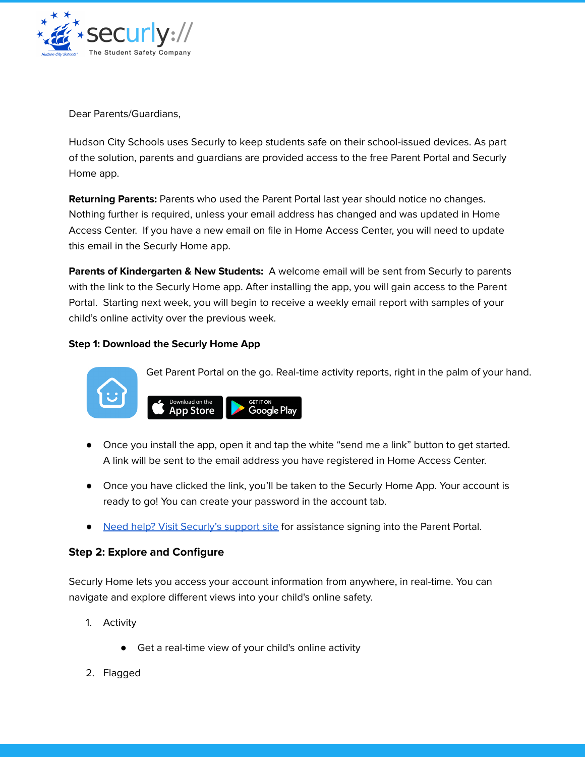

Dear Parents/Guardians,

Hudson City Schools uses Securly to keep students safe on their school-issued devices. As part of the solution, parents and guardians are provided access to the free Parent Portal and Securly Home app.

**Returning Parents:** Parents who used the Parent Portal last year should notice no changes. Nothing further is required, unless your email address has changed and was updated in Home Access Center. If you have a new email on file in Home Access Center, you will need to update this email in the Securly Home app.

**Parents of Kindergarten & New Students:** A welcome email will be sent from Securly to parents with the link to the Securly Home app. After installing the app, you will gain access to the Parent Portal. Starting next week, you will begin to receive a weekly email report with samples of your child's online activity over the previous week.

## **Step 1: Download the Securly Home App**

**App Store** 



Get Parent Portal on the go. Real-time activity reports, right in the palm of your hand.



**GET IT ON** Google Pla

- Once you have clicked the link, you'll be taken to the Securly Home App. Your account is ready to go! You can create your password in the account tab.
- Need help? Visit [Securly's](https://support.securly.com/hc/en-us/articles/360009606834--How-do-parents-sign-into-the-Parent-Portal-?source=search&auth_token=eyJhbGciOiJIUzI1NiJ9.eyJhY2NvdW50X2lkIjo0MTEwNzUsInVzZXJfaWQiOjM2NDA3MjQ2NjQ5NCwidGlja2V0X2lkIjoxNzA3NTIsImNoYW5uZWxfaWQiOjYzLCJ0eXBlIjoiU0VBUkNIIiwiZXhwIjoxNTcyMDI0NTU3fQ.PI0tj11GM4sjuzbAewO-fpowSO9lDwzEwFkY435QQzk) support site for assistance signing into the Parent Portal.

## **Step 2: Explore and Configure**

Securly Home lets you access your account information from anywhere, in real-time. You can navigate and explore different views into your child's online safety.

- 1. Activity
	- Get a real-time view of your child's online activity
- 2. Flagged